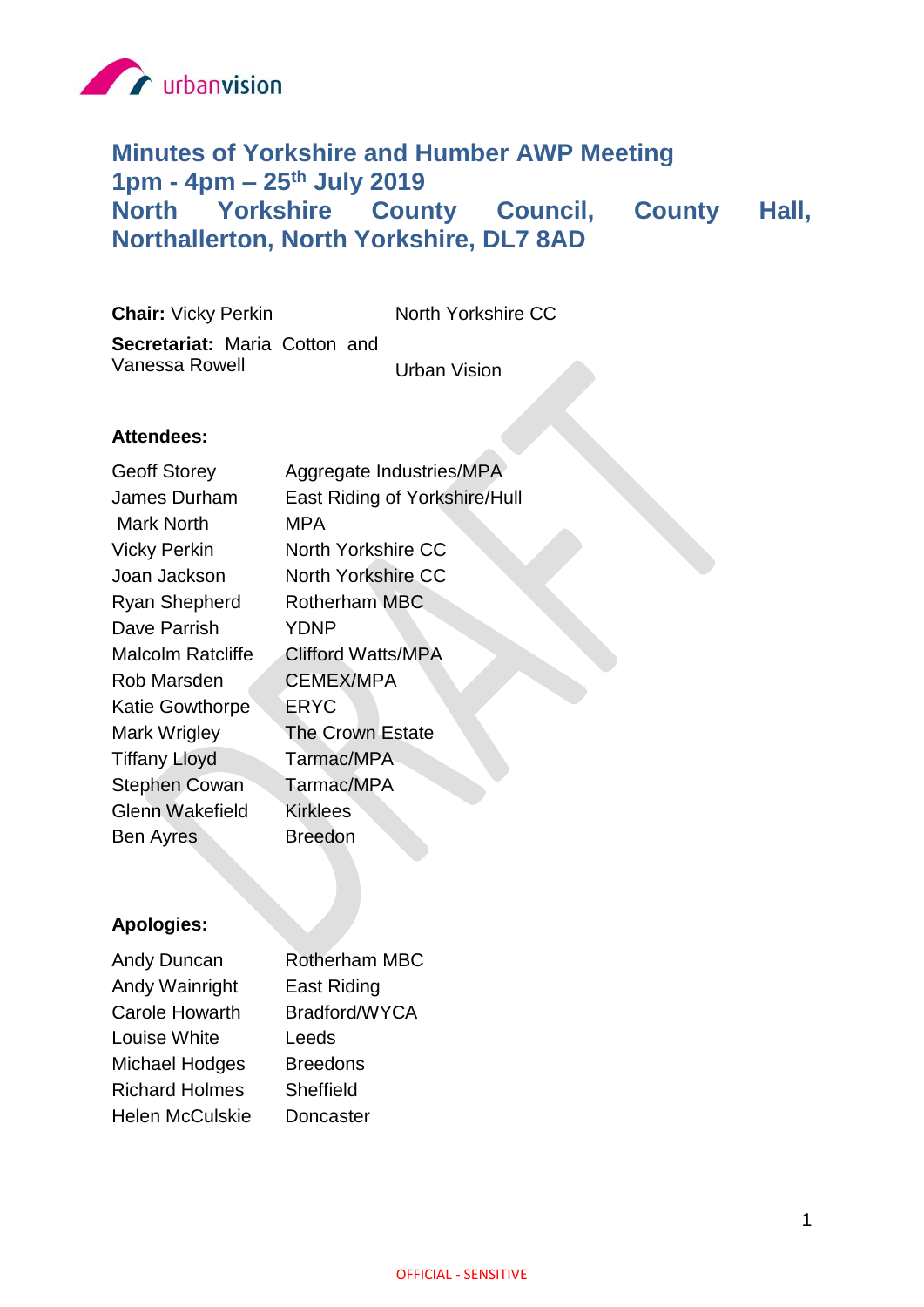

# **Minutes of Yorkshire and Humber AWP Meeting 1pm - 4pm – 25th July 2019 North Yorkshire County Council, County Hall, Northallerton, North Yorkshire, DL7 8AD**

**Chair:** Vicky Perkin North Yorkshire CC **Secretariat:** Maria Cotton and Vanessa Rowell Vanessa Rowell Vision

# **Attendees:**

| <b>Geoff Storey</b>      | Aggregate Industries/MPA      |
|--------------------------|-------------------------------|
| James Durham             | East Riding of Yorkshire/Hull |
| Mark North               | MPA                           |
| <b>Vicky Perkin</b>      | <b>North Yorkshire CC</b>     |
| Joan Jackson             | <b>North Yorkshire CC</b>     |
| <b>Ryan Shepherd</b>     | <b>Rotherham MBC</b>          |
| Dave Parrish             | YDNP                          |
| <b>Malcolm Ratcliffe</b> | <b>Clifford Watts/MPA</b>     |
| Rob Marsden              | <b>CEMEX/MPA</b>              |
| <b>Katie Gowthorpe</b>   | <b>ERYC</b>                   |
| Mark Wrigley             | <b>The Crown Estate</b>       |
| <b>Tiffany Lloyd</b>     | Tarmac/MPA                    |
| <b>Stephen Cowan</b>     | Tarmac/MPA                    |
| <b>Glenn Wakefield</b>   | <b>Kirklees</b>               |
| <b>Ben Ayres</b>         | <b>Breedon</b>                |
|                          |                               |

# **Apologies:**

| Andy Duncan            | Rotherham MBC   |
|------------------------|-----------------|
| Andy Wainright         | East Riding     |
| <b>Carole Howarth</b>  | Bradford/WYCA   |
| Louise White           | Leeds           |
| <b>Michael Hodges</b>  | <b>Breedons</b> |
| <b>Richard Holmes</b>  | Sheffield       |
| <b>Helen McCulskie</b> | Doncaster       |
|                        |                 |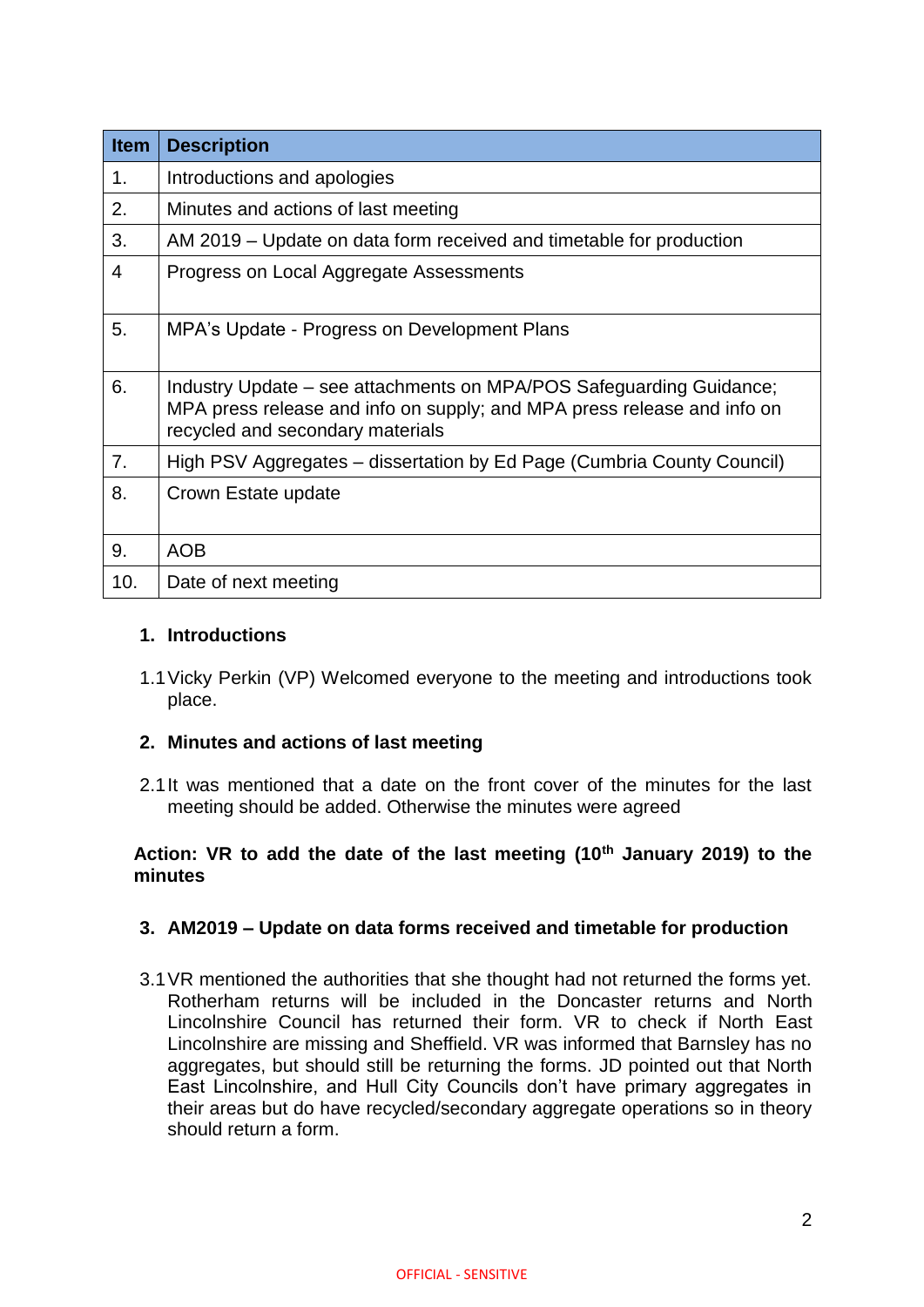| <b>Item</b>    | <b>Description</b>                                                                                                                                                                 |
|----------------|------------------------------------------------------------------------------------------------------------------------------------------------------------------------------------|
| 1 <sub>1</sub> | Introductions and apologies                                                                                                                                                        |
| 2.             | Minutes and actions of last meeting                                                                                                                                                |
| 3.             | AM 2019 – Update on data form received and timetable for production                                                                                                                |
| 4              | Progress on Local Aggregate Assessments                                                                                                                                            |
| 5.             | MPA's Update - Progress on Development Plans                                                                                                                                       |
| 6.             | Industry Update – see attachments on MPA/POS Safeguarding Guidance;<br>MPA press release and info on supply; and MPA press release and info on<br>recycled and secondary materials |
| 7.             | High PSV Aggregates - dissertation by Ed Page (Cumbria County Council)                                                                                                             |
| 8.             | Crown Estate update                                                                                                                                                                |
| 9.             | <b>AOB</b>                                                                                                                                                                         |
| 10.            | Date of next meeting                                                                                                                                                               |

# **1. Introductions**

1.1Vicky Perkin (VP) Welcomed everyone to the meeting and introductions took place.

# **2. Minutes and actions of last meeting**

2.1It was mentioned that a date on the front cover of the minutes for the last meeting should be added. Otherwise the minutes were agreed

# **Action: VR to add the date of the last meeting (10th January 2019) to the minutes**

## **3. AM2019 – Update on data forms received and timetable for production**

3.1VR mentioned the authorities that she thought had not returned the forms yet. Rotherham returns will be included in the Doncaster returns and North Lincolnshire Council has returned their form. VR to check if North East Lincolnshire are missing and Sheffield. VR was informed that Barnsley has no aggregates, but should still be returning the forms. JD pointed out that North East Lincolnshire, and Hull City Councils don't have primary aggregates in their areas but do have recycled/secondary aggregate operations so in theory should return a form.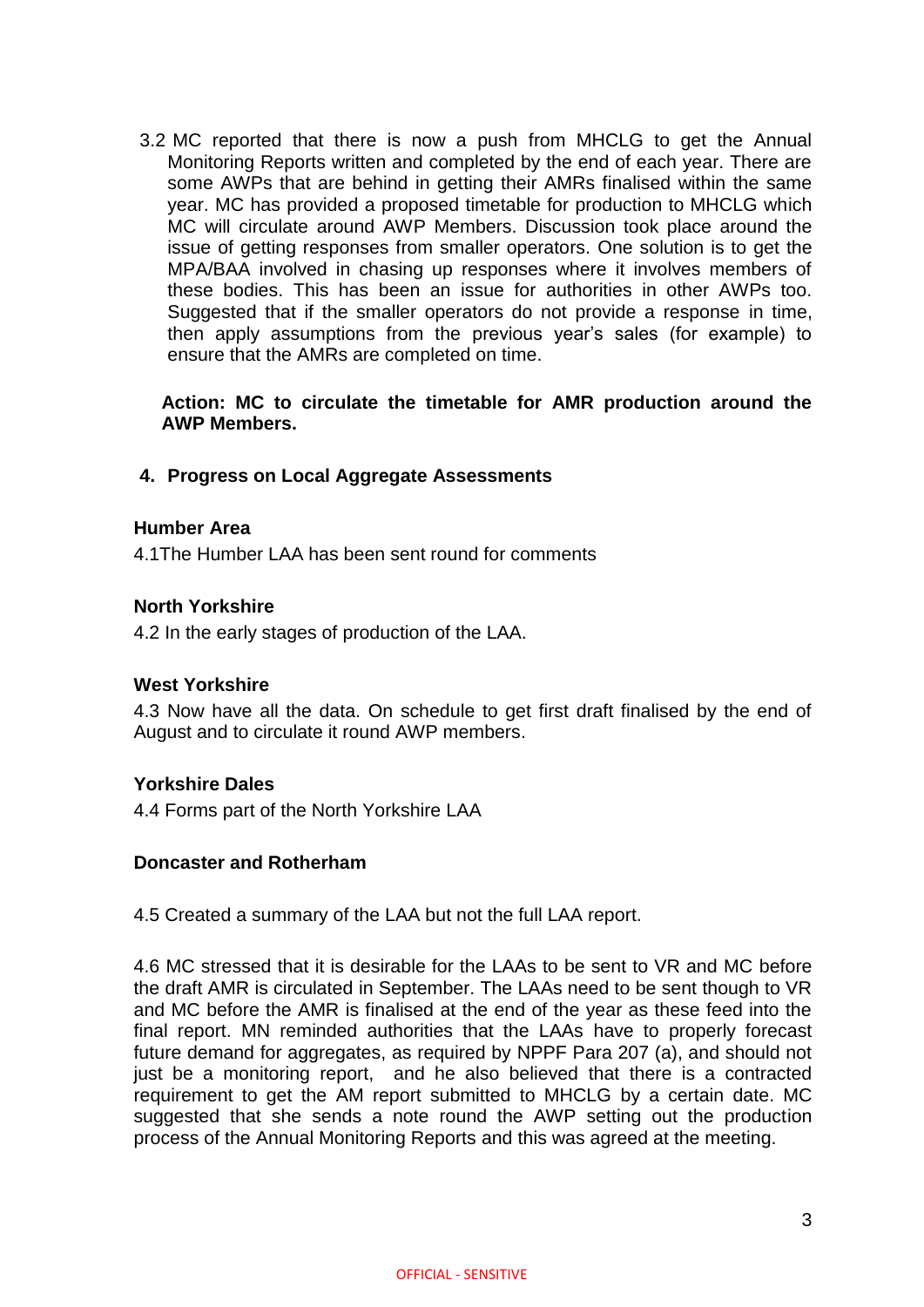3.2 MC reported that there is now a push from MHCLG to get the Annual Monitoring Reports written and completed by the end of each year. There are some AWPs that are behind in getting their AMRs finalised within the same year. MC has provided a proposed timetable for production to MHCLG which MC will circulate around AWP Members. Discussion took place around the issue of getting responses from smaller operators. One solution is to get the MPA/BAA involved in chasing up responses where it involves members of these bodies. This has been an issue for authorities in other AWPs too. Suggested that if the smaller operators do not provide a response in time, then apply assumptions from the previous year's sales (for example) to ensure that the AMRs are completed on time.

**Action: MC to circulate the timetable for AMR production around the AWP Members.**

#### **4. Progress on Local Aggregate Assessments**

#### **Humber Area**

4.1The Humber LAA has been sent round for comments

#### **North Yorkshire**

4.2 In the early stages of production of the LAA.

#### **West Yorkshire**

4.3 Now have all the data. On schedule to get first draft finalised by the end of August and to circulate it round AWP members.

#### **Yorkshire Dales**

4.4 Forms part of the North Yorkshire LAA

#### **Doncaster and Rotherham**

4.5 Created a summary of the LAA but not the full LAA report.

4.6 MC stressed that it is desirable for the LAAs to be sent to VR and MC before the draft AMR is circulated in September. The LAAs need to be sent though to VR and MC before the AMR is finalised at the end of the year as these feed into the final report. MN reminded authorities that the LAAs have to properly forecast future demand for aggregates, as required by NPPF Para 207 (a), and should not just be a monitoring report, and he also believed that there is a contracted requirement to get the AM report submitted to MHCLG by a certain date. MC suggested that she sends a note round the AWP setting out the production process of the Annual Monitoring Reports and this was agreed at the meeting.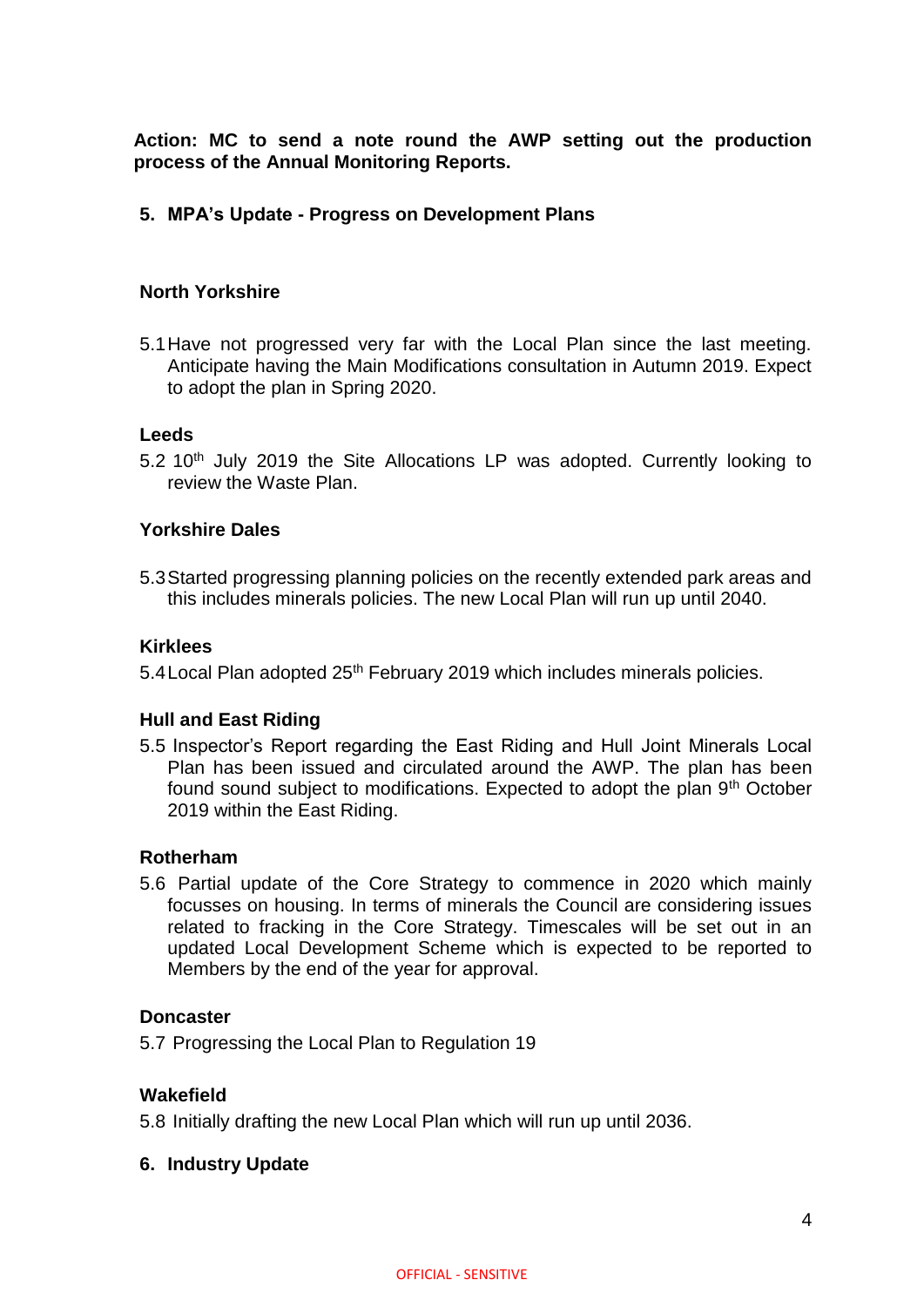**Action: MC to send a note round the AWP setting out the production process of the Annual Monitoring Reports.**

## **5. MPA's Update - Progress on Development Plans**

## **North Yorkshire**

5.1Have not progressed very far with the Local Plan since the last meeting. Anticipate having the Main Modifications consultation in Autumn 2019. Expect to adopt the plan in Spring 2020.

## **Leeds**

5.2 10<sup>th</sup> July 2019 the Site Allocations LP was adopted. Currently looking to review the Waste Plan.

#### **Yorkshire Dales**

5.3Started progressing planning policies on the recently extended park areas and this includes minerals policies. The new Local Plan will run up until 2040.

## **Kirklees**

5.4 Local Plan adopted 25<sup>th</sup> February 2019 which includes minerals policies.

## **Hull and East Riding**

5.5 Inspector's Report regarding the East Riding and Hull Joint Minerals Local Plan has been issued and circulated around the AWP. The plan has been found sound subject to modifications. Expected to adopt the plan 9<sup>th</sup> October 2019 within the East Riding.

#### **Rotherham**

5.6 Partial update of the Core Strategy to commence in 2020 which mainly focusses on housing. In terms of minerals the Council are considering issues related to fracking in the Core Strategy. Timescales will be set out in an updated Local Development Scheme which is expected to be reported to Members by the end of the year for approval.

#### **Doncaster**

5.7 Progressing the Local Plan to Regulation 19

## **Wakefield**

5.8 Initially drafting the new Local Plan which will run up until 2036.

#### **6. Industry Update**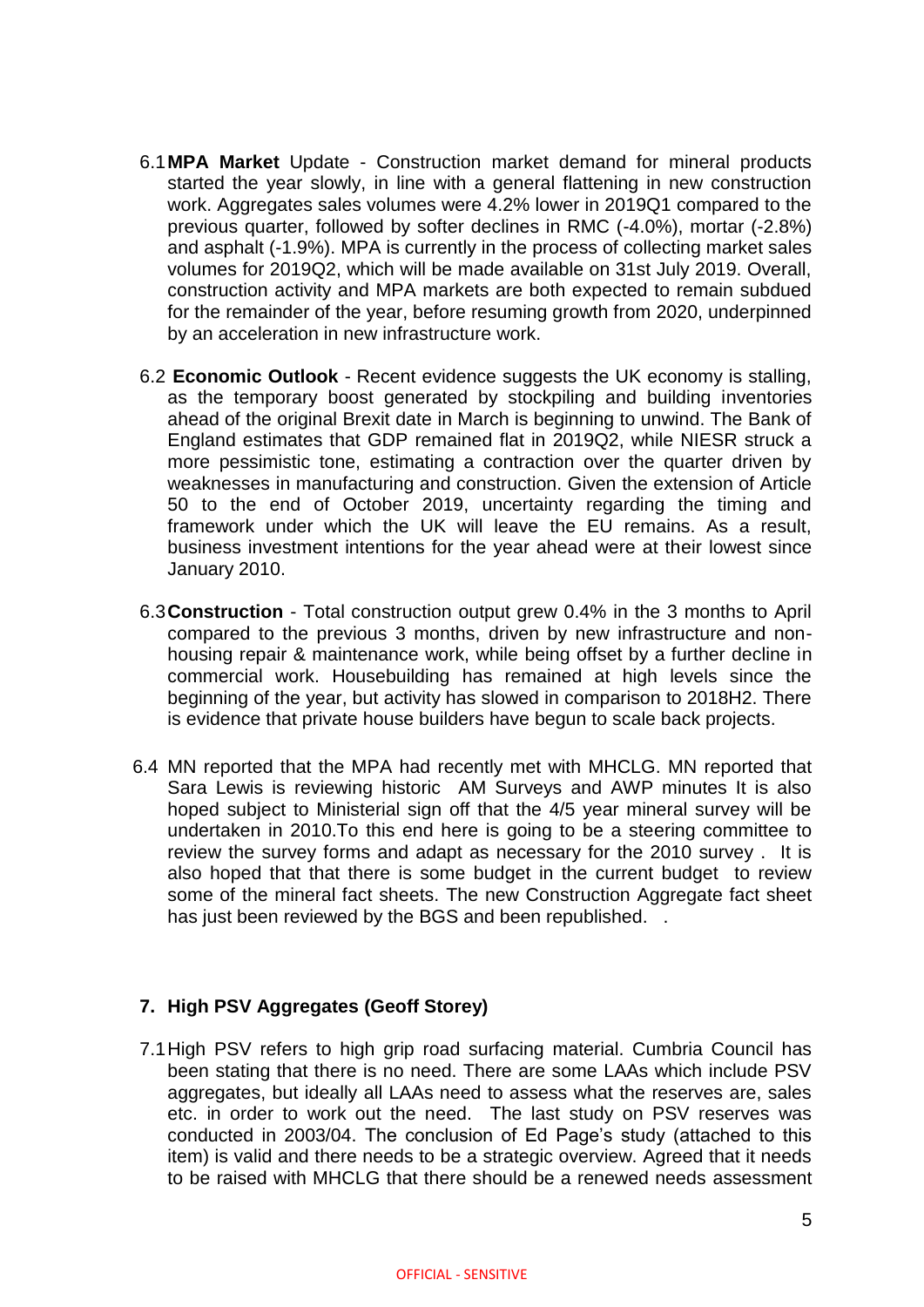- 6.1**MPA Market** Update Construction market demand for mineral products started the year slowly, in line with a general flattening in new construction work. Aggregates sales volumes were 4.2% lower in 2019Q1 compared to the previous quarter, followed by softer declines in RMC (-4.0%), mortar (-2.8%) and asphalt (-1.9%). MPA is currently in the process of collecting market sales volumes for 2019Q2, which will be made available on 31st July 2019. Overall, construction activity and MPA markets are both expected to remain subdued for the remainder of the year, before resuming growth from 2020, underpinned by an acceleration in new infrastructure work.
- 6.2 **Economic Outlook**  Recent evidence suggests the UK economy is stalling, as the temporary boost generated by stockpiling and building inventories ahead of the original Brexit date in March is beginning to unwind. The Bank of England estimates that GDP remained flat in 2019Q2, while NIESR struck a more pessimistic tone, estimating a contraction over the quarter driven by weaknesses in manufacturing and construction. Given the extension of Article 50 to the end of October 2019, uncertainty regarding the timing and framework under which the UK will leave the EU remains. As a result, business investment intentions for the year ahead were at their lowest since January 2010.
- 6.3**Construction**  Total construction output grew 0.4% in the 3 months to April compared to the previous 3 months, driven by new infrastructure and nonhousing repair & maintenance work, while being offset by a further decline in commercial work. Housebuilding has remained at high levels since the beginning of the year, but activity has slowed in comparison to 2018H2. There is evidence that private house builders have begun to scale back projects.
- 6.4 MN reported that the MPA had recently met with MHCLG. MN reported that Sara Lewis is reviewing historic AM Surveys and AWP minutes It is also hoped subject to Ministerial sign off that the 4/5 year mineral survey will be undertaken in 2010.To this end here is going to be a steering committee to review the survey forms and adapt as necessary for the 2010 survey . It is also hoped that that there is some budget in the current budget to review some of the mineral fact sheets. The new Construction Aggregate fact sheet has just been reviewed by the BGS and been republished. .

## **7. High PSV Aggregates (Geoff Storey)**

7.1High PSV refers to high grip road surfacing material. Cumbria Council has been stating that there is no need. There are some LAAs which include PSV aggregates, but ideally all LAAs need to assess what the reserves are, sales etc. in order to work out the need. The last study on PSV reserves was conducted in 2003/04. The conclusion of Ed Page's study (attached to this item) is valid and there needs to be a strategic overview. Agreed that it needs to be raised with MHCLG that there should be a renewed needs assessment